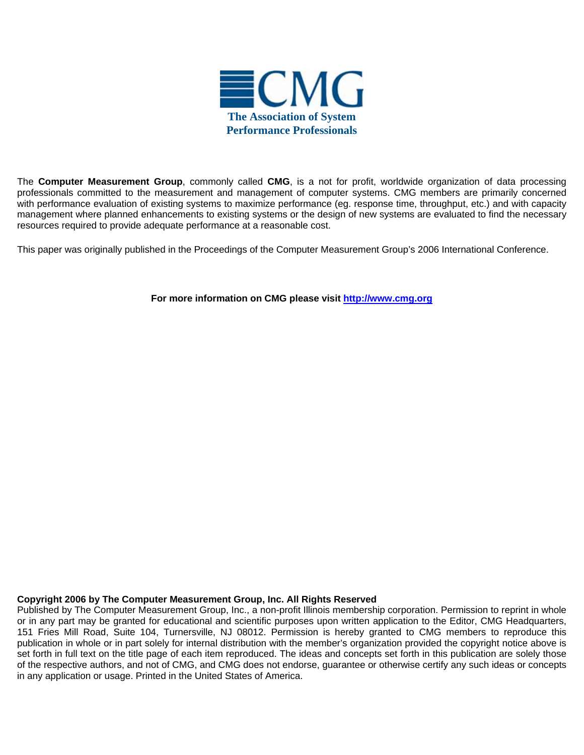

The **Computer Measurement Group**, commonly called **CMG**, is a not for profit, worldwide organization of data processing professionals committed to the measurement and management of computer systems. CMG members are primarily concerned with performance evaluation of existing systems to maximize performance (eg. response time, throughput, etc.) and with capacity management where planned enhancements to existing systems or the design of new systems are evaluated to find the necessary resources required to provide adequate performance at a reasonable cost.

This paper was originally published in the Proceedings of the Computer Measurement Group's 2006 International Conference.

**For more information on CMG please visit<http://www.cmg.org>**

#### **Copyright 2006 by The Computer Measurement Group, Inc. All Rights Reserved**

Published by The Computer Measurement Group, Inc., a non-profit Illinois membership corporation. Permission to reprint in whole or in any part may be granted for educational and scientific purposes upon written application to the Editor, CMG Headquarters, 151 Fries Mill Road, Suite 104, Turnersville, NJ 08012. Permission is hereby granted to CMG members to reproduce this publication in whole or in part solely for internal distribution with the member's organization provided the copyright notice above is set forth in full text on the title page of each item reproduced. The ideas and concepts set forth in this publication are solely those of the respective authors, and not of CMG, and CMG does not endorse, guarantee or otherwise certify any such ideas or concepts in any application or usage. Printed in the United States of America.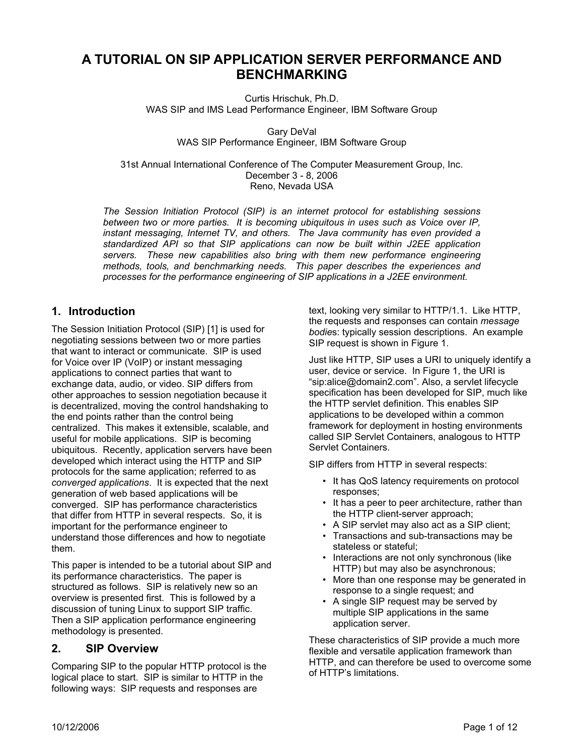# **A TUTORIAL ON SIP APPLICATION SERVER PERFORMANCE AND BENCHMARKING**

Curtis Hrischuk, Ph.D. WAS SIP and IMS Lead Performance Engineer, IBM Software Group

> Gary DeVal WAS SIP Performance Engineer, IBM Software Group

31st Annual International Conference of The Computer Measurement Group, Inc. December 3 - 8, 2006 Reno, Nevada USA

*The Session Initiation Protocol (SIP) is an internet protocol for establishing sessions between two or more parties. It is becoming ubiquitous in uses such as Voice over IP, instant messaging, Internet TV, and others. The Java community has even provided a standardized API so that SIP applications can now be built within J2EE application servers. These new capabilities also bring with them new performance engineering methods, tools, and benchmarking needs. This paper describes the experiences and processes for the performance engineering of SIP applications in a J2EE environment.*

## **1. Introduction**

The Session Initiation Protocol (SIP) [1] is used for negotiating sessions between two or more parties that want to interact or communicate. SIP is used for Voice over IP (VoIP) or instant messaging applications to connect parties that want to exchange data, audio, or video. SIP differs from other approaches to session negotiation because it is decentralized, moving the control handshaking to the end points rather than the control being centralized. This makes it extensible, scalable, and useful for mobile applications. SIP is becoming ubiquitous. Recently, application servers have been developed which interact using the HTTP and SIP protocols for the same application; referred to as *converged applications*. It is expected that the next generation of web based applications will be converged. SIP has performance characteristics that differ from HTTP in several respects. So, it is important for the performance engineer to understand those differences and how to negotiate them.

This paper is intended to be a tutorial about SIP and its performance characteristics. The paper is structured as follows. SIP is relatively new so an overview is presented first. This is followed by a discussion of tuning Linux to support SIP traffic. Then a SIP application performance engineering methodology is presented.

# **2. SIP Overview**

Comparing SIP to the popular HTTP protocol is the logical place to start. SIP is similar to HTTP in the following ways: SIP requests and responses are

text, looking very similar to HTTP/1.1. Like HTTP, the requests and responses can contain *message bodie*s: typically session descriptions. An example SIP request is shown in Figure 1.

Just like HTTP, SIP uses a URI to uniquely identify a user, device or service. In Figure 1, the URI is "sip:alice@domain2.com". Also, a servlet lifecycle specification has been developed for SIP, much like the HTTP servlet definition. This enables SIP applications to be developed within a common framework for deployment in hosting environments called SIP Servlet Containers, analogous to HTTP Servlet Containers.

SIP differs from HTTP in several respects:

- It has QoS latency requirements on protocol responses;
- It has a peer to peer architecture, rather than the HTTP client-server approach;
- A SIP servlet may also act as a SIP client;
- Transactions and sub-transactions may be stateless or stateful;
- Interactions are not only synchronous (like HTTP) but may also be asynchronous;
- More than one response may be generated in response to a single request; and
- A single SIP request may be served by multiple SIP applications in the same application server.

These characteristics of SIP provide a much more flexible and versatile application framework than HTTP, and can therefore be used to overcome some of HTTP's limitations.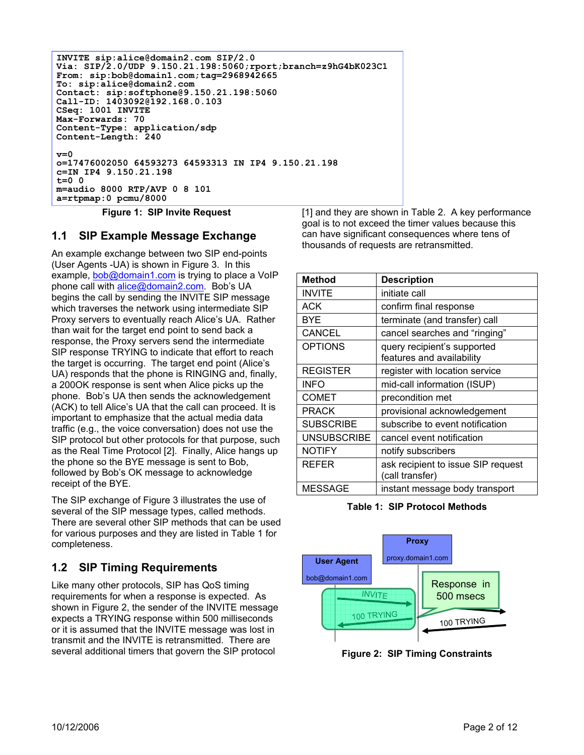```
INVITE sip:alice@domain2.com SIP/2.0
Via: SIP/2.0/UDP 9.150.21.198:5060;rport;branch=z9hG4bK023C1
From: sip:bob@domain1.com;tag=2968942665
To: sip:alice@domain2.com
Contact: sip:softphone@9.150.21.198:5060
Call-ID: 1403092@192.168.0.103
CSeq: 1001 INVITE
Max-Forwards: 70
Content-Type: application/sdp
Content-Length: 240
v=0
o=17476002050 64593273 64593313 IN IP4 9.150.21.198
c=IN IP4 9.150.21.198
t=0 0
m=audio 8000 RTP/AVP 0 8 101
a=rtpmap:0 pcmu/8000
```
**Figure 1: SIP Invite Request** 

# **1.1 SIP Example Message Exchange**

An example exchange between two SIP end-points (User Agents -UA) is shown in Figure 3. In this example, bob@domain1.com is trying to place a VoIP phone call with alice@domain2.com. Bob's UA begins the call by sending the INVITE SIP message which traverses the network using intermediate SIP Proxy servers to eventually reach Alice's UA. Rather than wait for the target end point to send back a response, the Proxy servers send the intermediate SIP response TRYING to indicate that effort to reach the target is occurring. The target end point (Alice's UA) responds that the phone is RINGING and, finally, a 200OK response is sent when Alice picks up the phone. Bob's UA then sends the acknowledgement (ACK) to tell Alice's UA that the call can proceed. It is important to emphasize that the actual media data traffic (e.g., the voice conversation) does not use the SIP protocol but other protocols for that purpose, such as the Real Time Protocol [2]. Finally, Alice hangs up the phone so the BYE message is sent to Bob, followed by Bob's OK message to acknowledge receipt of the BYE.

The SIP exchange of Figure 3 illustrates the use of several of the SIP message types, called methods. There are several other SIP methods that can be used for various purposes and they are listed in Table 1 for completeness.

# **1.2 SIP Timing Requirements**

Like many other protocols, SIP has QoS timing requirements for when a response is expected. As shown in Figure 2, the sender of the INVITE message expects a TRYING response within 500 milliseconds or it is assumed that the INVITE message was lost in transmit and the INVITE is retransmitted. There are several additional timers that govern the SIP protocol

[1] and they are shown in Table 2. A key performance goal is to not exceed the timer values because this can have significant consequences where tens of thousands of requests are retransmitted.

| <b>Method</b>      | <b>Description</b>                                       |
|--------------------|----------------------------------------------------------|
| <b>INVITE</b>      | initiate call                                            |
| ACK                | confirm final response                                   |
| BYE                | terminate (and transfer) call                            |
| <b>CANCEL</b>      | cancel searches and "ringing"                            |
| <b>OPTIONS</b>     | query recipient's supported<br>features and availability |
| <b>REGISTER</b>    | register with location service                           |
| <b>INFO</b>        | mid-call information (ISUP)                              |
| <b>COMET</b>       | precondition met                                         |
| <b>PRACK</b>       | provisional acknowledgement                              |
| <b>SUBSCRIBE</b>   | subscribe to event notification                          |
| <b>UNSUBSCRIBE</b> | cancel event notification                                |
| <b>NOTIFY</b>      | notify subscribers                                       |
| <b>REFER</b>       | ask recipient to issue SIP request<br>(call transfer)    |
| MESSAGE            | instant message body transport                           |

**Table 1: SIP Protocol Methods** 



**Figure 2: SIP Timing Constraints**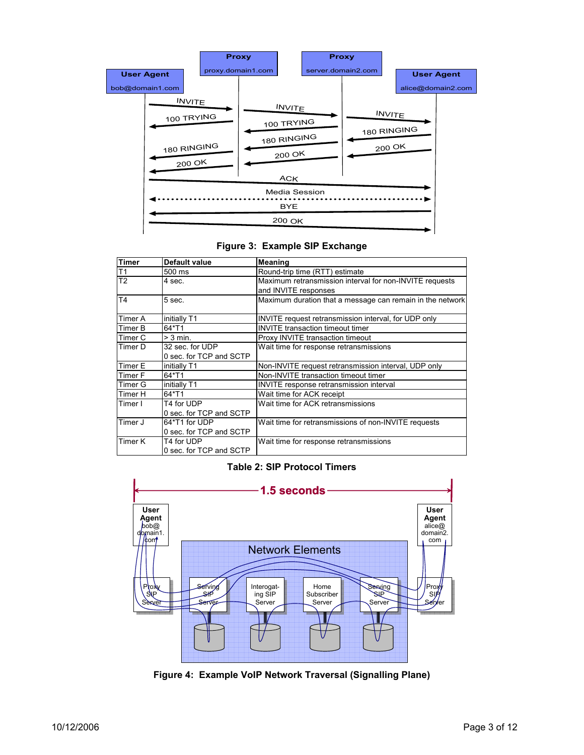

#### **Figure 3: Example SIP Exchange**

| <b>Timer</b>   | Default value           | <b>Meaning</b>                                            |  |  |
|----------------|-------------------------|-----------------------------------------------------------|--|--|
| T1             | 500 ms                  | Round-trip time (RTT) estimate                            |  |  |
| T2             | 4 sec.                  | Maximum retransmission interval for non-INVITE requests   |  |  |
|                |                         | and INVITE responses                                      |  |  |
| T <sub>4</sub> | 5 sec.                  | Maximum duration that a message can remain in the network |  |  |
| Timer A        | initially T1            | INVITE request retransmission interval, for UDP only      |  |  |
| Timer B        | 64*T1                   | <b>INVITE</b> transaction timeout timer                   |  |  |
| Timer C        | $>$ 3 min.              | Proxy INVITE transaction timeout                          |  |  |
| Timer D        | 32 sec. for UDP         | Wait time for response retransmissions                    |  |  |
|                | 0 sec. for TCP and SCTP |                                                           |  |  |
| Timer E        | initially T1            | Non-INVITE request retransmission interval, UDP only      |  |  |
| Timer F        | 64*T1                   | Non-INVITE transaction timeout timer                      |  |  |
| Timer G        | initially T1            | <b>INVITE</b> response retransmission interval            |  |  |
| Timer H        | 64*T1                   | Wait time for ACK receipt                                 |  |  |
| Timer I        | T4 for UDP              | Wait time for ACK retransmissions                         |  |  |
|                | 0 sec. for TCP and SCTP |                                                           |  |  |
| Timer J        | 64*T1 for UDP           | Wait time for retransmissions of non-INVITE requests      |  |  |
|                | 0 sec. for TCP and SCTP |                                                           |  |  |
| Timer K        | T4 for UDP              | Wait time for response retransmissions                    |  |  |
|                | 0 sec. for TCP and SCTP |                                                           |  |  |

#### **Table 2: SIP Protocol Timers**



**Figure 4: Example VoIP Network Traversal (Signalling Plane)**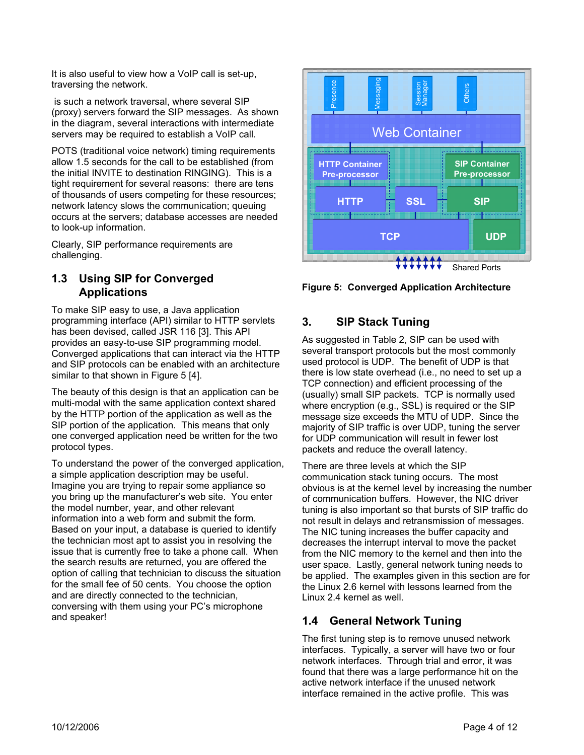It is also useful to view how a VoIP call is set-up, traversing the network.

 is such a network traversal, where several SIP (proxy) servers forward the SIP messages. As shown in the diagram, several interactions with intermediate servers may be required to establish a VoIP call.

POTS (traditional voice network) timing requirements allow 1.5 seconds for the call to be established (from the initial INVITE to destination RINGING). This is a tight requirement for several reasons: there are tens of thousands of users competing for these resources; network latency slows the communication; queuing occurs at the servers; database accesses are needed to look-up information.

Clearly, SIP performance requirements are challenging.

# **1.3 Using SIP for Converged Applications**

To make SIP easy to use, a Java application programming interface (API) similar to HTTP servlets has been devised, called JSR 116 [3]. This API provides an easy-to-use SIP programming model. Converged applications that can interact via the HTTP and SIP protocols can be enabled with an architecture similar to that shown in Figure 5 [4].

The beauty of this design is that an application can be multi-modal with the same application context shared by the HTTP portion of the application as well as the SIP portion of the application. This means that only one converged application need be written for the two protocol types.

To understand the power of the converged application, a simple application description may be useful. Imagine you are trying to repair some appliance so you bring up the manufacturer's web site. You enter the model number, year, and other relevant information into a web form and submit the form. Based on your input, a database is queried to identify the technician most apt to assist you in resolving the issue that is currently free to take a phone call. When the search results are returned, you are offered the option of calling that technician to discuss the situation for the small fee of 50 cents. You choose the option and are directly connected to the technician, conversing with them using your PC's microphone and speaker!



**Figure 5: Converged Application Architecture** 

# **3. SIP Stack Tuning**

As suggested in Table 2, SIP can be used with several transport protocols but the most commonly used protocol is UDP. The benefit of UDP is that there is low state overhead (i.e., no need to set up a TCP connection) and efficient processing of the (usually) small SIP packets. TCP is normally used where encryption (e.g., SSL) is required or the SIP message size exceeds the MTU of UDP. Since the majority of SIP traffic is over UDP, tuning the server for UDP communication will result in fewer lost packets and reduce the overall latency.

There are three levels at which the SIP communication stack tuning occurs. The most obvious is at the kernel level by increasing the number of communication buffers. However, the NIC driver tuning is also important so that bursts of SIP traffic do not result in delays and retransmission of messages. The NIC tuning increases the buffer capacity and decreases the interrupt interval to move the packet from the NIC memory to the kernel and then into the user space. Lastly, general network tuning needs to be applied. The examples given in this section are for the Linux 2.6 kernel with lessons learned from the Linux 2.4 kernel as well.

# **1.4 General Network Tuning**

The first tuning step is to remove unused network interfaces. Typically, a server will have two or four network interfaces. Through trial and error, it was found that there was a large performance hit on the active network interface if the unused network interface remained in the active profile. This was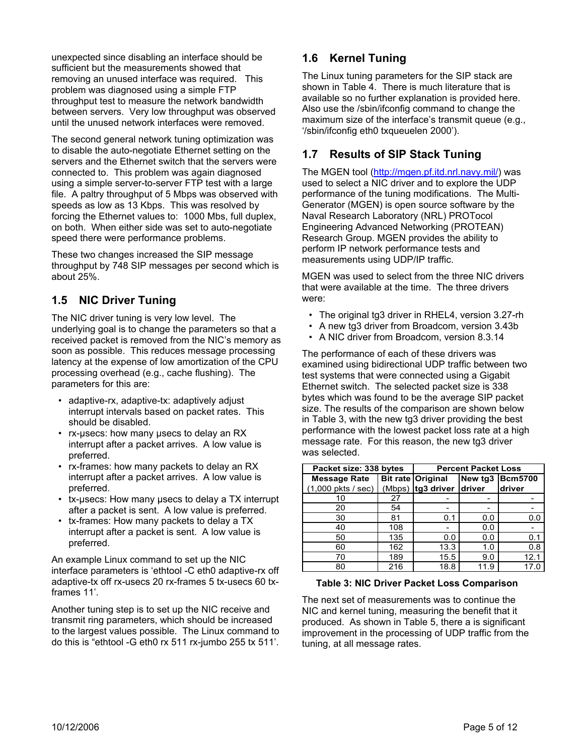unexpected since disabling an interface should be sufficient but the measurements showed that removing an unused interface was required. This problem was diagnosed using a simple FTP throughput test to measure the network bandwidth between servers. Very low throughput was observed until the unused network interfaces were removed.

The second general network tuning optimization was to disable the auto-negotiate Ethernet setting on the servers and the Ethernet switch that the servers were connected to. This problem was again diagnosed using a simple server-to-server FTP test with a large file. A paltry throughput of 5 Mbps was observed with speeds as low as 13 Kbps. This was resolved by forcing the Ethernet values to: 1000 Mbs, full duplex, on both. When either side was set to auto-negotiate speed there were performance problems.

These two changes increased the SIP message throughput by 748 SIP messages per second which is about 25%.

# **1.5 NIC Driver Tuning**

The NIC driver tuning is very low level. The underlying goal is to change the parameters so that a received packet is removed from the NIC's memory as soon as possible. This reduces message processing latency at the expense of low amortization of the CPU processing overhead (e.g., cache flushing). The parameters for this are:

- adaptive-rx, adaptive-tx: adaptively adjust interrupt intervals based on packet rates. This should be disabled.
- rx-μsecs: how many μsecs to delay an RX interrupt after a packet arrives. A low value is preferred.
- rx-frames: how many packets to delay an RX interrupt after a packet arrives. A low value is preferred.
- tx-μsecs: How many μsecs to delay a TX interrupt after a packet is sent. A low value is preferred.
- tx-frames: How many packets to delay a TX interrupt after a packet is sent. A low value is preferred.

An example Linux command to set up the NIC interface parameters is 'ethtool -C eth0 adaptive-rx off adaptive-tx off rx-usecs 20 rx-frames 5 tx-usecs 60 txframes 11'.

Another tuning step is to set up the NIC receive and transmit ring parameters, which should be increased to the largest values possible. The Linux command to do this is "ethtool -G eth0 rx 511 rx-jumbo 255 tx 511'.

# **1.6 Kernel Tuning**

The Linux tuning parameters for the SIP stack are shown in Table 4. There is much literature that is available so no further explanation is provided here. Also use the /sbin/ifconfig command to change the maximum size of the interface's transmit queue (e.g., '/sbin/ifconfig eth0 txqueuelen 2000').

# **1.7 Results of SIP Stack Tuning**

The MGEN tool (http://mgen.pf.itd.nrl.navy.mil/) was used to select a NIC driver and to explore the UDP performance of the tuning modifications. The Multi-Generator (MGEN) is open source software by the Naval Research Laboratory (NRL) PROTocol Engineering Advanced Networking (PROTEAN) Research Group. MGEN provides the ability to perform IP network performance tests and measurements using UDP/IP traffic.

MGEN was used to select from the three NIC drivers that were available at the time. The three drivers were:

- The original tg3 driver in RHEL4, version 3.27-rh
- A new tg3 driver from Broadcom, version 3.43b
- A NIC driver from Broadcom, version 8.3.14

The performance of each of these drivers was examined using bidirectional UDP traffic between two test systems that were connected using a Gigabit Ethernet switch. The selected packet size is 338 bytes which was found to be the average SIP packet size. The results of the comparison are shown below in Table 3, with the new tg3 driver providing the best performance with the lowest packet loss rate at a high message rate. For this reason, the new tg3 driver was selected.

| Packet size: 338 bytes               | <b>Percent Packet Loss</b> |                          |                 |        |
|--------------------------------------|----------------------------|--------------------------|-----------------|--------|
| <b>Message Rate</b>                  |                            | Bit rate Original        | New tg3 Bcm5700 |        |
| $(1,000 \text{ plits} / \text{sec})$ |                            | (Mbps) tg3 driver driver |                 | driver |
| 10                                   | 27                         |                          |                 |        |
| 20                                   | 54                         |                          | ۰               |        |
| 30                                   | 81                         | 0.1                      | 0.0             | 0.0    |
| 40                                   | 108                        |                          | 0.0             |        |
| 50                                   | 135                        | 0.0                      | 0.0             | 0.1    |
| 60                                   | 162                        | 13.3                     | 1.0             | 0.8    |
| 70                                   | 189                        | 15.5                     | 9.0             | 12.1   |
| 80                                   | 216                        | 18.8                     | 11.9            | 17.0   |

#### **Table 3: NIC Driver Packet Loss Comparison**

The next set of measurements was to continue the NIC and kernel tuning, measuring the benefit that it produced. As shown in Table 5, there a is significant improvement in the processing of UDP traffic from the tuning, at all message rates.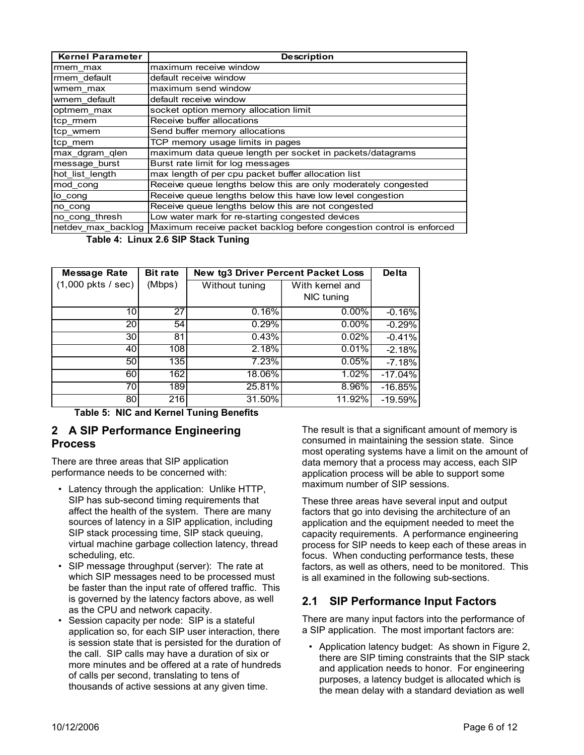| <b>Kernel Parameter</b> | <b>Description</b>                                                                      |  |  |
|-------------------------|-----------------------------------------------------------------------------------------|--|--|
| rmem max                | maximum receive window                                                                  |  |  |
| rmem default            | default receive window                                                                  |  |  |
| wmem max                | maximum send window                                                                     |  |  |
| wmem default            | default receive window                                                                  |  |  |
| optmem_max              | socket option memory allocation limit                                                   |  |  |
| tcp_rmem                | Receive buffer allocations                                                              |  |  |
| tcp_wmem                | Send buffer memory allocations                                                          |  |  |
| tcp_mem                 | TCP memory usage limits in pages                                                        |  |  |
| max_dgram_qlen          | maximum data queue length per socket in packets/datagrams                               |  |  |
| message burst           | Burst rate limit for log messages                                                       |  |  |
| hot list length         | max length of per cpu packet buffer allocation list                                     |  |  |
| mod_cong                | Receive queue lengths below this are only moderately congested                          |  |  |
| lo cong                 | Receive queue lengths below this have low level congestion                              |  |  |
| no cong                 | Receive queue lengths below this are not congested                                      |  |  |
| no cong thresh          | Low water mark for re-starting congested devices                                        |  |  |
|                         | netdev max backlog Maximum receive packet backlog before congestion control is enforced |  |  |

 **Table 4: Linux 2.6 SIP Stack Tuning** 

| Message Rate                        | <b>Bit rate</b> | <b>New tg3 Driver Percent Packet Loss</b> | <b>Delta</b>    |           |
|-------------------------------------|-----------------|-------------------------------------------|-----------------|-----------|
| $(1,000 \text{ pkts} / \text{sec})$ | (Mbps)          | Without tuning                            | With kernel and |           |
|                                     |                 |                                           | NIC tuning      |           |
| 10 <sup>1</sup>                     | 27              | 0.16%                                     | $0.00\%$        | $-0.16%$  |
| 20                                  | 54              | 0.29%                                     | $0.00\%$        | $-0.29%$  |
| 30 <sup>°</sup>                     | 81              | 0.43%                                     | 0.02%           | $-0.41%$  |
| 40                                  | 108             | 2.18%                                     | 0.01%           | $-2.18%$  |
| 50                                  | 135             | 7.23%                                     | 0.05%           | $-7.18%$  |
| 60                                  | 162             | 18.06%                                    | 1.02%           | $-17.04%$ |
| 70                                  | 189l            | 25.81%                                    | $8.96\%$        | $-16.85%$ |
| 80                                  | 216             | 31.50%                                    | 11.92%          | $-19.59%$ |

**Table 5: NIC and Kernel Tuning Benefits** 

## **2 A SIP Performance Engineering Process**

There are three areas that SIP application performance needs to be concerned with:

- Latency through the application: Unlike HTTP, SIP has sub-second timing requirements that affect the health of the system. There are many sources of latency in a SIP application, including SIP stack processing time, SIP stack queuing, virtual machine garbage collection latency, thread scheduling, etc.
- SIP message throughput (server): The rate at which SIP messages need to be processed must be faster than the input rate of offered traffic. This is governed by the latency factors above, as well as the CPU and network capacity.
- Session capacity per node: SIP is a stateful application so, for each SIP user interaction, there is session state that is persisted for the duration of the call. SIP calls may have a duration of six or more minutes and be offered at a rate of hundreds of calls per second, translating to tens of thousands of active sessions at any given time.

The result is that a significant amount of memory is consumed in maintaining the session state. Since most operating systems have a limit on the amount of data memory that a process may access, each SIP application process will be able to support some maximum number of SIP sessions.

These three areas have several input and output factors that go into devising the architecture of an application and the equipment needed to meet the capacity requirements. A performance engineering process for SIP needs to keep each of these areas in focus. When conducting performance tests, these factors, as well as others, need to be monitored. This is all examined in the following sub-sections.

# **2.1 SIP Performance Input Factors**

There are many input factors into the performance of a SIP application. The most important factors are:

• Application latency budget: As shown in Figure 2, there are SIP timing constraints that the SIP stack and application needs to honor. For engineering purposes, a latency budget is allocated which is the mean delay with a standard deviation as well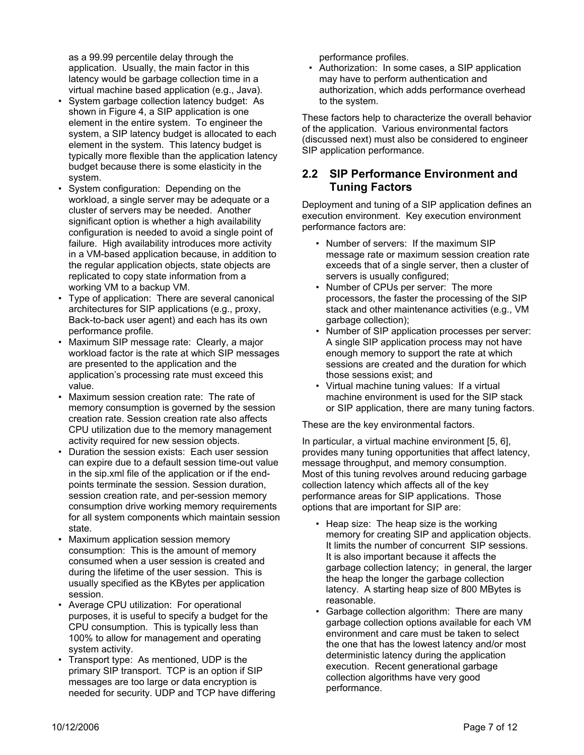as a 99.99 percentile delay through the application. Usually, the main factor in this latency would be garbage collection time in a virtual machine based application (e.g., Java).

- System garbage collection latency budget: As shown in Figure 4, a SIP application is one element in the entire system. To engineer the system, a SIP latency budget is allocated to each element in the system. This latency budget is typically more flexible than the application latency budget because there is some elasticity in the system.
- System configuration: Depending on the workload, a single server may be adequate or a cluster of servers may be needed. Another significant option is whether a high availability configuration is needed to avoid a single point of failure. High availability introduces more activity in a VM-based application because, in addition to the regular application objects, state objects are replicated to copy state information from a working VM to a backup VM.
- Type of application: There are several canonical architectures for SIP applications (e.g., proxy, Back-to-back user agent) and each has its own performance profile.
- Maximum SIP message rate: Clearly, a major workload factor is the rate at which SIP messages are presented to the application and the application's processing rate must exceed this value.
- Maximum session creation rate: The rate of memory consumption is governed by the session creation rate. Session creation rate also affects CPU utilization due to the memory management activity required for new session objects.
- Duration the session exists: Each user session can expire due to a default session time-out value in the sip.xml file of the application or if the endpoints terminate the session. Session duration, session creation rate, and per-session memory consumption drive working memory requirements for all system components which maintain session state.
- Maximum application session memory consumption: This is the amount of memory consumed when a user session is created and during the lifetime of the user session. This is usually specified as the KBytes per application session.
- Average CPU utilization: For operational purposes, it is useful to specify a budget for the CPU consumption. This is typically less than 100% to allow for management and operating system activity.
- Transport type: As mentioned, UDP is the primary SIP transport. TCP is an option if SIP messages are too large or data encryption is needed for security. UDP and TCP have differing

performance profiles.

• Authorization: In some cases, a SIP application may have to perform authentication and authorization, which adds performance overhead to the system.

These factors help to characterize the overall behavior of the application. Various environmental factors (discussed next) must also be considered to engineer SIP application performance.

## **2.2 SIP Performance Environment and Tuning Factors**

Deployment and tuning of a SIP application defines an execution environment. Key execution environment performance factors are:

- Number of servers: If the maximum SIP message rate or maximum session creation rate exceeds that of a single server, then a cluster of servers is usually configured;
- Number of CPUs per server: The more processors, the faster the processing of the SIP stack and other maintenance activities (e.g., VM garbage collection);
- Number of SIP application processes per server: A single SIP application process may not have enough memory to support the rate at which sessions are created and the duration for which those sessions exist; and
- Virtual machine tuning values: If a virtual machine environment is used for the SIP stack or SIP application, there are many tuning factors.

These are the key environmental factors.

In particular, a virtual machine environment [5, 6], provides many tuning opportunities that affect latency, message throughput, and memory consumption. Most of this tuning revolves around reducing garbage collection latency which affects all of the key performance areas for SIP applications. Those options that are important for SIP are:

- Heap size: The heap size is the working memory for creating SIP and application objects. It limits the number of concurrent SIP sessions. It is also important because it affects the garbage collection latency; in general, the larger the heap the longer the garbage collection latency. A starting heap size of 800 MBytes is reasonable.
- Garbage collection algorithm: There are many garbage collection options available for each VM environment and care must be taken to select the one that has the lowest latency and/or most deterministic latency during the application execution. Recent generational garbage collection algorithms have very good performance.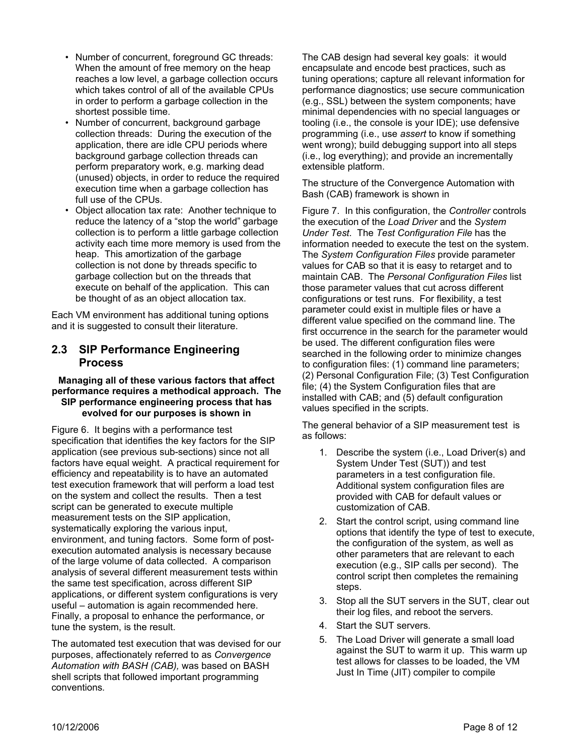- Number of concurrent, foreground GC threads: When the amount of free memory on the heap reaches a low level, a garbage collection occurs which takes control of all of the available CPUs in order to perform a garbage collection in the shortest possible time.
- Number of concurrent, background garbage collection threads: During the execution of the application, there are idle CPU periods where background garbage collection threads can perform preparatory work, e.g. marking dead (unused) objects, in order to reduce the required execution time when a garbage collection has full use of the CPUs.
- Object allocation tax rate: Another technique to reduce the latency of a "stop the world" garbage collection is to perform a little garbage collection activity each time more memory is used from the heap. This amortization of the garbage collection is not done by threads specific to garbage collection but on the threads that execute on behalf of the application. This can be thought of as an object allocation tax.

Each VM environment has additional tuning options and it is suggested to consult their literature.

# **2.3 SIP Performance Engineering Process**

#### **Managing all of these various factors that affect performance requires a methodical approach. The SIP performance engineering process that has evolved for our purposes is shown in**

Figure 6. It begins with a performance test specification that identifies the key factors for the SIP application (see previous sub-sections) since not all factors have equal weight. A practical requirement for efficiency and repeatability is to have an automated test execution framework that will perform a load test on the system and collect the results. Then a test script can be generated to execute multiple measurement tests on the SIP application, systematically exploring the various input, environment, and tuning factors. Some form of postexecution automated analysis is necessary because of the large volume of data collected. A comparison analysis of several different measurement tests within the same test specification, across different SIP applications, or different system configurations is very useful – automation is again recommended here. Finally, a proposal to enhance the performance, or tune the system, is the result.

The automated test execution that was devised for our purposes, affectionately referred to as *Convergence Automation with BASH (CAB),* was based on BASH shell scripts that followed important programming conventions*.* 

The CAB design had several key goals: it would encapsulate and encode best practices, such as tuning operations; capture all relevant information for performance diagnostics; use secure communication (e.g., SSL) between the system components; have minimal dependencies with no special languages or tooling (i.e., the console is your IDE); use defensive programming (i.e., use *assert* to know if something went wrong); build debugging support into all steps (i.e., log everything); and provide an incrementally extensible platform.

The structure of the Convergence Automation with Bash (CAB) framework is shown in

Figure 7. In this configuration, the *Controller* controls the execution of the *Load Driver* and the *System Under Test*. The *Test Configuration File* has the information needed to execute the test on the system. The *System Configuration Files* provide parameter values for CAB so that it is easy to retarget and to maintain CAB. The *Personal Configuration Files* list those parameter values that cut across different configurations or test runs. For flexibility, a test parameter could exist in multiple files or have a different value specified on the command line. The first occurrence in the search for the parameter would be used. The different configuration files were searched in the following order to minimize changes to configuration files: (1) command line parameters; (2) Personal Configuration File; (3) Test Configuration file; (4) the System Configuration files that are installed with CAB; and (5) default configuration values specified in the scripts.

The general behavior of a SIP measurement test is as follows:

- 1. Describe the system (i.e., Load Driver(s) and System Under Test (SUT)) and test parameters in a test configuration file. Additional system configuration files are provided with CAB for default values or customization of CAB.
- 2. Start the control script, using command line options that identify the type of test to execute, the configuration of the system, as well as other parameters that are relevant to each execution (e.g., SIP calls per second). The control script then completes the remaining steps.
- 3. Stop all the SUT servers in the SUT, clear out their log files, and reboot the servers.
- 4. Start the SUT servers.
- 5. The Load Driver will generate a small load against the SUT to warm it up. This warm up test allows for classes to be loaded, the VM Just In Time (JIT) compiler to compile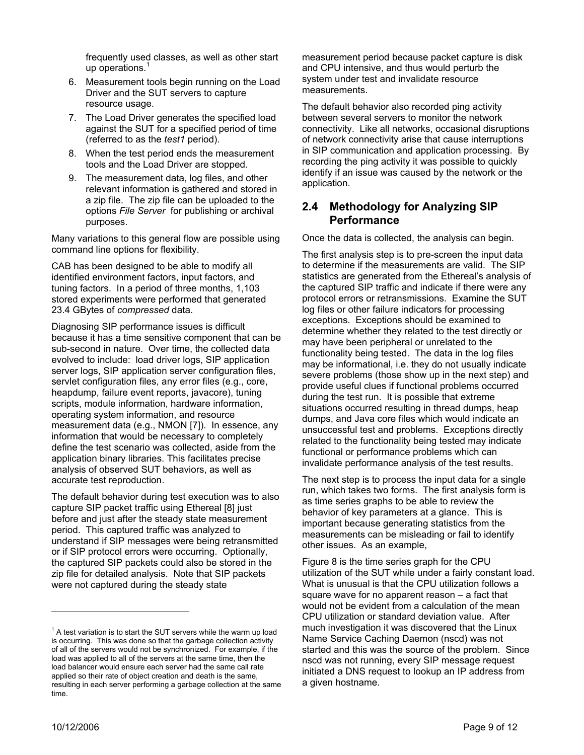frequently used classes, as well as other start up operations. $<sup>1</sup>$ </sup>

- 6. Measurement tools begin running on the Load Driver and the SUT servers to capture resource usage.
- 7. The Load Driver generates the specified load against the SUT for a specified period of time (referred to as the *test1* period).
- 8. When the test period ends the measurement tools and the Load Driver are stopped.
- 9. The measurement data, log files, and other relevant information is gathered and stored in a zip file. The zip file can be uploaded to the options *File Server* for publishing or archival purposes.

Many variations to this general flow are possible using command line options for flexibility.

CAB has been designed to be able to modify all identified environment factors, input factors, and tuning factors. In a period of three months, 1,103 stored experiments were performed that generated 23.4 GBytes of *compressed* data.

Diagnosing SIP performance issues is difficult because it has a time sensitive component that can be sub-second in nature. Over time, the collected data evolved to include: load driver logs, SIP application server logs, SIP application server configuration files, servlet configuration files, any error files (e.g., core, heapdump, failure event reports, javacore), tuning scripts, module information, hardware information, operating system information, and resource measurement data (e.g., NMON [7]). In essence, any information that would be necessary to completely define the test scenario was collected, aside from the application binary libraries. This facilitates precise analysis of observed SUT behaviors, as well as accurate test reproduction.

The default behavior during test execution was to also capture SIP packet traffic using Ethereal [8] just before and just after the steady state measurement period. This captured traffic was analyzed to understand if SIP messages were being retransmitted or if SIP protocol errors were occurring. Optionally, the captured SIP packets could also be stored in the zip file for detailed analysis. Note that SIP packets were not captured during the steady state

measurement period because packet capture is disk and CPU intensive, and thus would perturb the system under test and invalidate resource measurements.

The default behavior also recorded ping activity between several servers to monitor the network connectivity. Like all networks, occasional disruptions of network connectivity arise that cause interruptions in SIP communication and application processing. By recording the ping activity it was possible to quickly identify if an issue was caused by the network or the application.

## **2.4 Methodology for Analyzing SIP Performance**

Once the data is collected, the analysis can begin.

The first analysis step is to pre-screen the input data to determine if the measurements are valid. The SIP statistics are generated from the Ethereal's analysis of the captured SIP traffic and indicate if there were any protocol errors or retransmissions. Examine the SUT log files or other failure indicators for processing exceptions. Exceptions should be examined to determine whether they related to the test directly or may have been peripheral or unrelated to the functionality being tested. The data in the log files may be informational, i.e. they do not usually indicate severe problems (those show up in the next step) and provide useful clues if functional problems occurred during the test run. It is possible that extreme situations occurred resulting in thread dumps, heap dumps, and Java core files which would indicate an unsuccessful test and problems. Exceptions directly related to the functionality being tested may indicate functional or performance problems which can invalidate performance analysis of the test results.

The next step is to process the input data for a single run, which takes two forms. The first analysis form is as time series graphs to be able to review the behavior of key parameters at a glance. This is important because generating statistics from the measurements can be misleading or fail to identify other issues. As an example,

Figure 8 is the time series graph for the CPU utilization of the SUT while under a fairly constant load. What is unusual is that the CPU utilization follows a square wave for no apparent reason – a fact that would not be evident from a calculation of the mean CPU utilization or standard deviation value. After much investigation it was discovered that the Linux Name Service Caching Daemon (nscd) was not started and this was the source of the problem. Since nscd was not running, every SIP message request initiated a DNS request to lookup an IP address from a given hostname.

l

 $1$  A test variation is to start the SUT servers while the warm up load is occurring. This was done so that the garbage collection activity of all of the servers would not be synchronized. For example, if the load was applied to all of the servers at the same time, then the load balancer would ensure each server had the same call rate applied so their rate of object creation and death is the same, resulting in each server performing a garbage collection at the same time.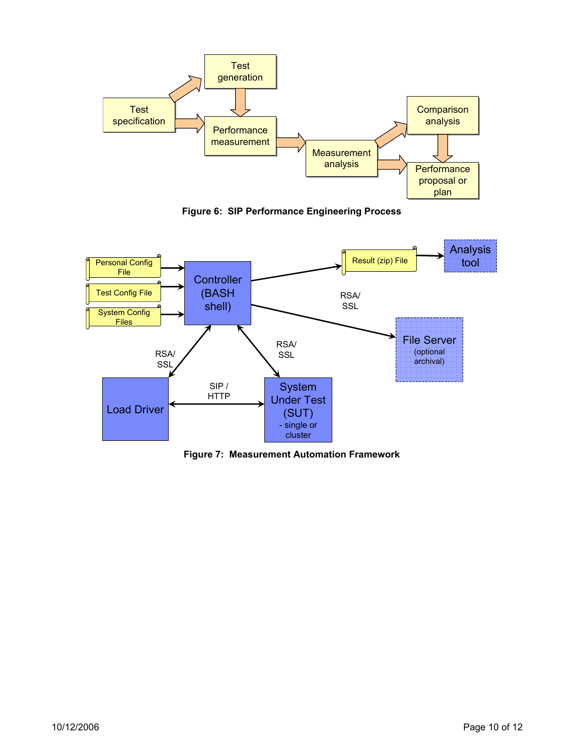

**Figure 6: SIP Performance Engineering Process** 



**Figure 7: Measurement Automation Framework**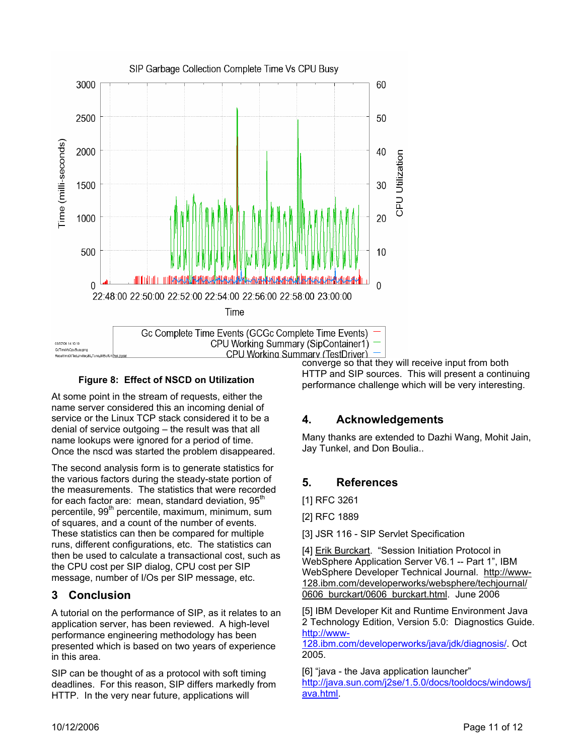

#### **Figure 8: Effect of NSCD on Utilization**

At some point in the stream of requests, either the name server considered this an incoming denial of service or the Linux TCP stack considered it to be a denial of service outgoing – the result was that all name lookups were ignored for a period of time. Once the nscd was started the problem disappeared.

The second analysis form is to generate statistics for the various factors during the steady-state portion of the measurements. The statistics that were recorded for each factor are: mean, standard deviation, 95<sup>th</sup> percentile, 99<sup>th</sup> percentile, maximum, minimum, sum of squares, and a count of the number of events. These statistics can then be compared for multiple runs, different configurations, etc. The statistics can then be used to calculate a transactional cost, such as the CPU cost per SIP dialog, CPU cost per SIP message, number of I/Os per SIP message, etc.

# **3 Conclusion**

A tutorial on the performance of SIP, as it relates to an application server, has been reviewed. A high-level performance engineering methodology has been presented which is based on two years of experience in this area.

SIP can be thought of as a protocol with soft timing deadlines. For this reason, SIP differs markedly from HTTP. In the very near future, applications will

CPU Working Summary (TestDriver)  $\vert$ <br>converge so that they will receive input from both HTTP and SIP sources. This will present a continuing performance challenge which will be very interesting.

# **4. Acknowledgements**

Many thanks are extended to Dazhi Wang, Mohit Jain, Jay Tunkel, and Don Boulia..

# **5. References**

[1] RFC 3261

[2] RFC 1889

[3] JSR 116 - SIP Servlet Specification

[4] Erik Burckart. "Session Initiation Protocol in WebSphere Application Server V6.1 -- Part 1", IBM WebSphere Developer Technical Journal. http://www-128.ibm.com/developerworks/websphere/techjournal/ 0606 burckart/0606 burckart.html. June 2006

[5] IBM Developer Kit and Runtime Environment Java 2 Technology Edition, Version 5.0: Diagnostics Guide. http://www-

128.ibm.com/developerworks/java/jdk/diagnosis/. Oct 2005.

[6] "java - the Java application launcher" http://java.sun.com/j2se/1.5.0/docs/tooldocs/windows/j ava.html.